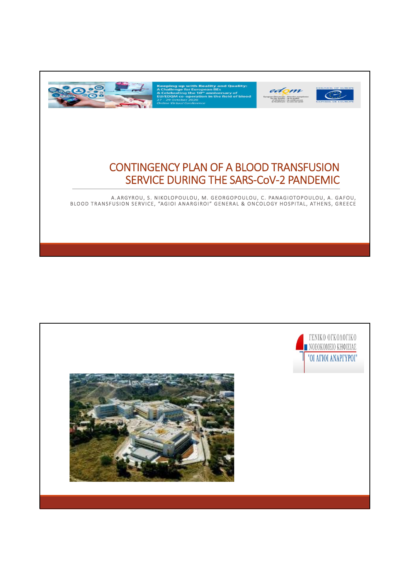

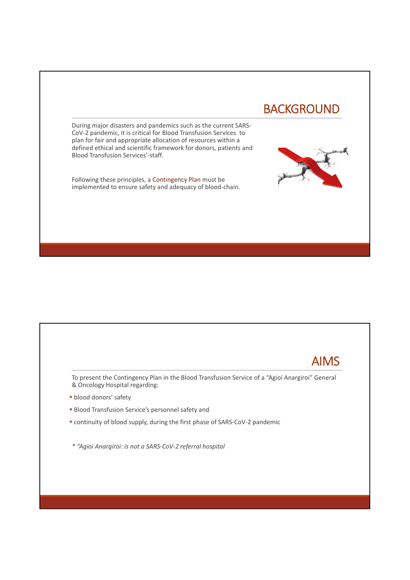# BACKGROUND

During major disasters and pandemics such as the current SARS-CoV-2 pandemic, it is critical for Blood Transfusion Services to plan for fair and appropriate allocation of resources within a defined ethical and scientific framework for donors, patients and Blood Transfusion Services'-staff.

Following these principles, a Contingency Plan must be implemented to ensure safety and adequacy of blood-chain.



To present the Contingency Plan in the Blood Transfusion Service of a "Agioi Anargiroi" General & Oncology Hospital regarding:

- **blood donors' safety**
- **Blood Transfusion Service's personnel safety and**
- continuity of blood supply, during the first phase of SARS-CoV-2 pandemic
- *\* "Agioi Anargiroi: is not a SARS-CoV-2 referral hospital*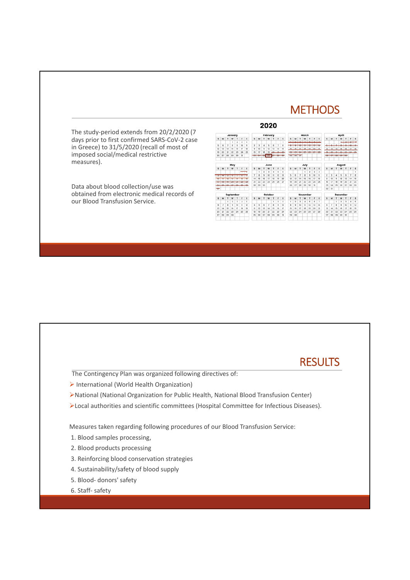### **METHODS**

The study-period extends from 20/2/2020 (7 days prior to first confirmed SARS-CoV-2 case in Greece) to 31/5/2020 (recall of most of imposed social/medical restrictive measures).

Data about blood collection/use was obtained from electronic medical records of our Blood Transfusion Service.

|                  |                |                               | January          |                         |                |                | February        |                         |    |      |            |                |                        | March   |                          |                 |         |                             |                 |                | <b>April</b>             |                          |                 |                                |                |                 |                 |
|------------------|----------------|-------------------------------|------------------|-------------------------|----------------|----------------|-----------------|-------------------------|----|------|------------|----------------|------------------------|---------|--------------------------|-----------------|---------|-----------------------------|-----------------|----------------|--------------------------|--------------------------|-----------------|--------------------------------|----------------|-----------------|-----------------|
| s                | M              | T                             | w                | т                       | и              | s              | s               | M                       | r  | w    | т          | ×              | s                      | s       | M                        |                 | w       | ٦                           | r               | s              | s                        | M                        | т               | w                              | т              | т               | s               |
|                  |                |                               | ١                | $\ddot{\phantom{a}}$    | ¢              | $\overline{a}$ |                 |                         |    |      |            |                |                        |         | $\overline{\phantom{a}}$ | ÷               |         | ÷                           |                 | ٠              |                          |                          |                 |                                |                |                 |                 |
| s.               | ¢              | $\overline{z}$                | $\mathbf{R}$     | $\circ$                 | 10             | m              | $\overline{2}$  | $\mathbf{a}$            | A  | S.   | G.         | $\overline{z}$ | a                      |         |                          |                 |         |                             |                 |                | $\overline{\phantom{a}}$ | $\overline{\phantom{a}}$ | $\overline{a}$  | $\overline{a}$                 | ÷              | $\overline{1}$  | $\overline{a}$  |
| 12               | 13             | 14                            | 15.              | 16                      | 17             | 18             | $\Omega$        | 10                      | n  | 12   | 13         | 14             | 15                     | 18.     | 16                       | <b>Y7</b>       | 10      | 10                          | 20 <sub>1</sub> | $\sim$         | 12                       | 12                       | 14 <sub>1</sub> | 15                             | 16             | 17              | 18              |
| t9               | 20             | 21                            | 22               | 23                      | 24             | 26             | 16              | $\sqrt{2}$              | 18 | 19   | $-245$     | $^{46}$        | $46 - 15 = 15$         | 44<br>₩ |                          | $23 - 24 - 26$  |         | <b>Cult</b><br><del>—</del> | $\sim$<br>÷     | <b>Ad</b><br>÷ | <b>HG</b>                | 243                      | $-0.1$          |                                | $22$ $23$ $24$ |                 | 46              |
| 26               | 27             | 28                            | 29               | 35                      | 31             |                | $\sim$          | AND I AND I AND I AND I |    |      | <b>COL</b> | <b>AND TO</b>  | $-1$<br>$\overline{a}$ |         | $49 - 99 - 99$           |                 |         |                             |                 |                | $-$                      | $\sim$                   | $-$             | $-1$<br>AM 1 AT 1 AM 1 AM 1 AM | $\sim$         |                 |                 |
|                  |                |                               | May              |                         |                |                |                 |                         |    | June |            |                |                        |         |                          |                 | July    |                             |                 |                |                          |                          |                 | <b>August</b>                  |                |                 |                 |
| s                | $\mathbf{M}$   | $\mathbf{r}$                  | w                | T                       | ×              | s              | s               | M                       | Ŧ  | w    | ۳          | p              | s                      | ×       | M                        | т               | w       | T                           | ×               | s              | s                        | м                        | Ŧ               | w                              | ۲              | p               | s               |
|                  |                |                               |                  |                         | -              |                |                 | ı                       | 2  | з    | a          | s              | а                      |         |                          |                 | ×       | ä                           | <sup>2</sup>    | 4              |                          |                          |                 |                                |                |                 |                 |
| ÷                |                | u                             | ÷                |                         | π              |                | $\overline{ }$  | Λ                       | ğ, | 10   | n          | 12             | I3                     | 5       | 6                        | 7               | ٨       | $\mathfrak{a}$              | 10              | n              | $\overline{2}$           | a                        | ۵               | ß,                             | ô              | 7               | s               |
| w                | п              | $\overline{a}$                | $\overline{a}$   | <b>TO</b>               | $\overline{a}$ | m              | 14              | 15                      | 16 | 17   | m          | 19             | 20                     | 12      | 13                       | M               | 15      | 16                          | T               | 18             | $\overline{9}$           | 10                       | $\mathbb{I}$    | 12                             | 13             | 14              | 15              |
|                  |                |                               |                  |                         |                | -              | $\overline{21}$ | 22                      | 23 | 24   | 28         | 26             | 27                     | 19      | 20                       | $\overline{21}$ | $_{22}$ | 23                          | 24              | 25             | 16                       | 17                       | 1R              | 19                             | 20             | $\overline{21}$ | $\overline{22}$ |
|                  | <b>COLOR</b>   | $n_{\rm eff}$<br><b>STATE</b> | <b>ALC</b><br>-- | --<br><b>CONTRACTOR</b> | $-1$<br>---    | n.c.           | 28              | 29                      | 30 |      |            |                |                        | 26      | 27                       | 28              | 29      | 30                          | 31              |                | $^{22}$                  | 24                       | 25              | 26                             | 27             | 28              | 29              |
| ÷                |                |                               |                  |                         |                |                |                 |                         |    |      |            |                |                        |         |                          |                 |         |                             |                 |                | 30                       | 31                       |                 |                                |                |                 |                 |
| <b>September</b> |                |                               |                  |                         |                |                | October         |                         |    |      |            |                | November               |         |                          |                 |         |                             |                 | December       |                          |                          |                 |                                |                |                 |                 |
| s                | $\mathbf{M}$   | T                             | w                | T                       | r              | s.             | c               | M                       | Ŧ  | w    | τ          | r              | s                      | s.      | M                        | т               | w       | Ŧ                           | ۲               | s.             | s.                       | M                        | Ŧ               | w                              | Ŧ              | r               | s               |
|                  |                | ٠                             | $\overline{2}$   | $\mathfrak{B}$          | 4              | s              |                 |                         |    |      | ٠          | $\overline{2}$ | $\mathbf{3}$           | ٠       | $\overline{2}$           | $\mathbf{3}$    | A       | 5                           | ë.              | $\overline{ }$ |                          |                          | f.              | $\mathfrak{D}$                 | 3              | 4               | ß,              |
| e.               | $\overline{ }$ | 8                             | ٠                | 10                      | $\mathbf{u}$   | 12             | $\overline{a}$  | 5                       | 6  | y    | a          | $\mathbf{u}$   | 10                     | ×       | $\mathbf{9}$             | 10              | n       | 12                          | <b>13</b>       | 14             | 6                        | ž                        | s               | ä                              | 10             | n               | 12              |
| 13               | 14             | 15                            | 16               | 17                      | m              | m              | n               | 12                      | 13 | 14   | 15         | 16             | 17                     | 15      | 16                       | 17              | 15      | 19                          | 20              | 21             | 13                       | 14                       | 15              | 16                             | 17             | 18              | 19              |
| 20               | 21             | $^{22}$                       | $^{22}$          | 24                      | 25             | 26             | 10              | 19                      | 20 | 21   | $^{22}$    | $^{22}$        | $^{24}$                | 22      | $^{22}$                  | 24              | 25      | 26                          | 27              | 20             | 20                       | 21                       | 22              | $^{22}$                        | 24             | 25              | 26              |
| 27               | 28             | 29                            | 30               |                         |                |                | 25              | 26                      | 27 | 2R   | 29         | 30             | 31                     | 29      | 30 <sub>0</sub>          |                 |         |                             |                 |                | 27                       | 29                       | 29              | 30                             | 31             |                 |                 |

2020

### **RESULTS**

The Contingency Plan was organized following directives of:

- International (World Health Organization)
- National (National Organization for Public Health, National Blood Transfusion Center)
- Local authorities and scientific committees (Hospital Committee for Infectious Diseases).

Measures taken regarding following procedures of our Blood Transfusion Service:

- 1. Blood samples processing,
- 2. Blood products processing
- 3. Reinforcing blood conservation strategies
- 4. Sustainability/safety of blood supply
- 5. Blood- donors' safety
- 6. Staff- safety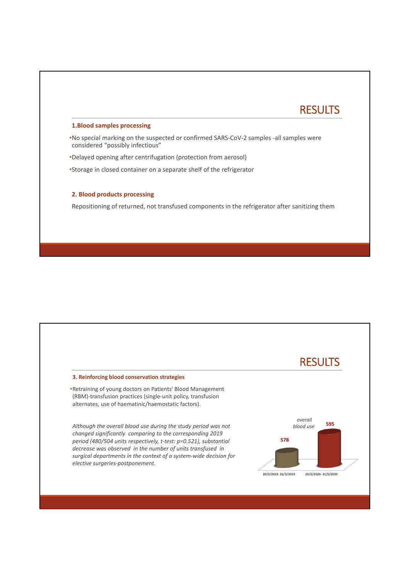## **RESULTS**

#### **1.Blood samples processing**

•No special marking on the suspected or confirmed SARS-CoV-2 samples -all samples were considered "possibly infectious"

•Delayed opening after centrifugation (protection from aerosol)

•Storage in closed container on a separate shelf of the refrigerator

#### **2. Blood products processing**

Repositioning of returned, not transfused components in the refrigerator after sanitizing them

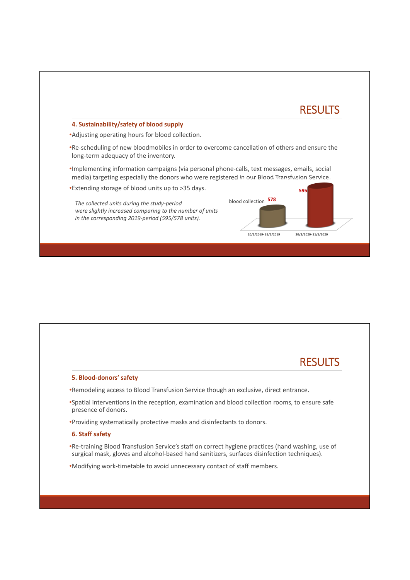